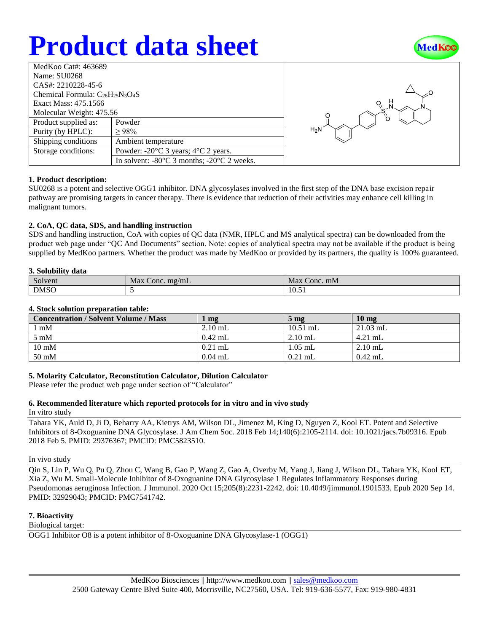# **Product data sheet**



| MedKoo Cat#: 463689                     |                                                                |  |  |  |
|-----------------------------------------|----------------------------------------------------------------|--|--|--|
| Name: SU0268                            |                                                                |  |  |  |
| CAS#: 2210228-45-6                      |                                                                |  |  |  |
| Chemical Formula: $C_{26}H_{25}N_3O_4S$ |                                                                |  |  |  |
| Exact Mass: 475.1566                    |                                                                |  |  |  |
| Molecular Weight: 475.56                |                                                                |  |  |  |
| Product supplied as:                    | Powder                                                         |  |  |  |
| Purity (by HPLC):                       | >98%                                                           |  |  |  |
| Shipping conditions                     | Ambient temperature                                            |  |  |  |
| Storage conditions:                     | Powder: $-20^{\circ}$ C 3 years; $4^{\circ}$ C 2 years.        |  |  |  |
|                                         | In solvent: $-80^{\circ}$ C 3 months; $-20^{\circ}$ C 2 weeks. |  |  |  |



## **1. Product description:**

SU0268 is a potent and selective OGG1 inhibitor. DNA glycosylases involved in the first step of the DNA base excision repair pathway are promising targets in cancer therapy. There is evidence that reduction of their activities may enhance cell killing in malignant tumors.

## **2. CoA, QC data, SDS, and handling instruction**

SDS and handling instruction, CoA with copies of QC data (NMR, HPLC and MS analytical spectra) can be downloaded from the product web page under "QC And Documents" section. Note: copies of analytical spectra may not be available if the product is being supplied by MedKoo partners. Whether the product was made by MedKoo or provided by its partners, the quality is 100% guaranteed.

### **3. Solubility data**

| <u>v</u> . bolubliity uutu |                    |                                  |  |  |
|----------------------------|--------------------|----------------------------------|--|--|
| Solvent                    | Max<br>Conc. mg/mL | Max Conc. mM                     |  |  |
| <b>DMSO</b>                |                    | $\sim$ $\sim$<br>$\sim$<br>10.51 |  |  |

### **4. Stock solution preparation table:**

| <b>Concentration / Solvent Volume / Mass</b> | mg        | 5 <sub>mg</sub> | $10 \text{ mg}$ |
|----------------------------------------------|-----------|-----------------|-----------------|
| mM                                           | $2.10$ mL | $10.51$ mL      | $21.03$ mL      |
| $5 \text{ mM}$                               | $0.42$ mL | $2.10$ mL       | $4.21$ mL       |
| $10 \text{ mM}$                              | $0.21$ mL | $1.05$ mL       | $2.10$ mL       |
| $50 \text{ mM}$                              | $0.04$ mL | $0.21$ mL       | $0.42$ mL       |

## **5. Molarity Calculator, Reconstitution Calculator, Dilution Calculator**

Please refer the product web page under section of "Calculator"

## **6. Recommended literature which reported protocols for in vitro and in vivo study**

In vitro study

Tahara YK, Auld D, Ji D, Beharry AA, Kietrys AM, Wilson DL, Jimenez M, King D, Nguyen Z, Kool ET. Potent and Selective Inhibitors of 8-Oxoguanine DNA Glycosylase. J Am Chem Soc. 2018 Feb 14;140(6):2105-2114. doi: 10.1021/jacs.7b09316. Epub 2018 Feb 5. PMID: 29376367; PMCID: PMC5823510.

#### In vivo study

Qin S, Lin P, Wu Q, Pu Q, Zhou C, Wang B, Gao P, Wang Z, Gao A, Overby M, Yang J, Jiang J, Wilson DL, Tahara YK, Kool ET, Xia Z, Wu M. Small-Molecule Inhibitor of 8-Oxoguanine DNA Glycosylase 1 Regulates Inflammatory Responses during Pseudomonas aeruginosa Infection. J Immunol. 2020 Oct 15;205(8):2231-2242. doi: 10.4049/jimmunol.1901533. Epub 2020 Sep 14. PMID: 32929043; PMCID: PMC7541742.

## **7. Bioactivity**

Biological target:

OGG1 Inhibitor O8 is a potent inhibitor of 8-Oxoguanine DNA Glycosylase-1 (OGG1)